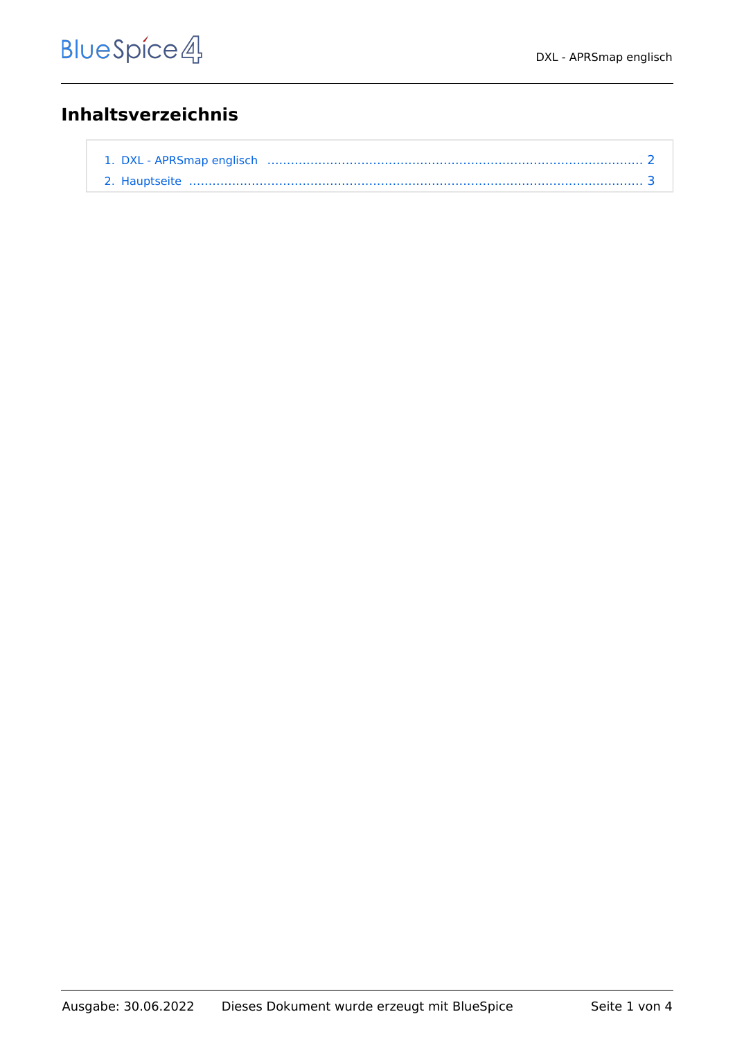## **Inhaltsverzeichnis**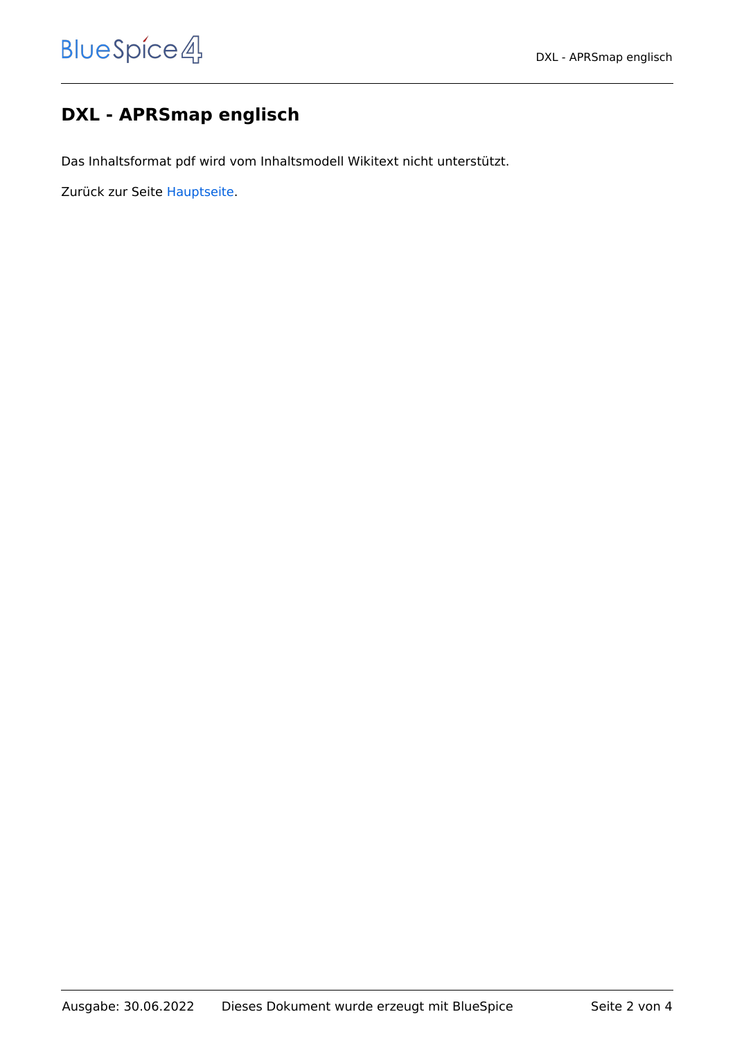## <span id="page-1-0"></span>**DXL - APRSmap englisch**

Das Inhaltsformat pdf wird vom Inhaltsmodell Wikitext nicht unterstützt.

Zurück zur Seite [Hauptseite.](#page-2-0)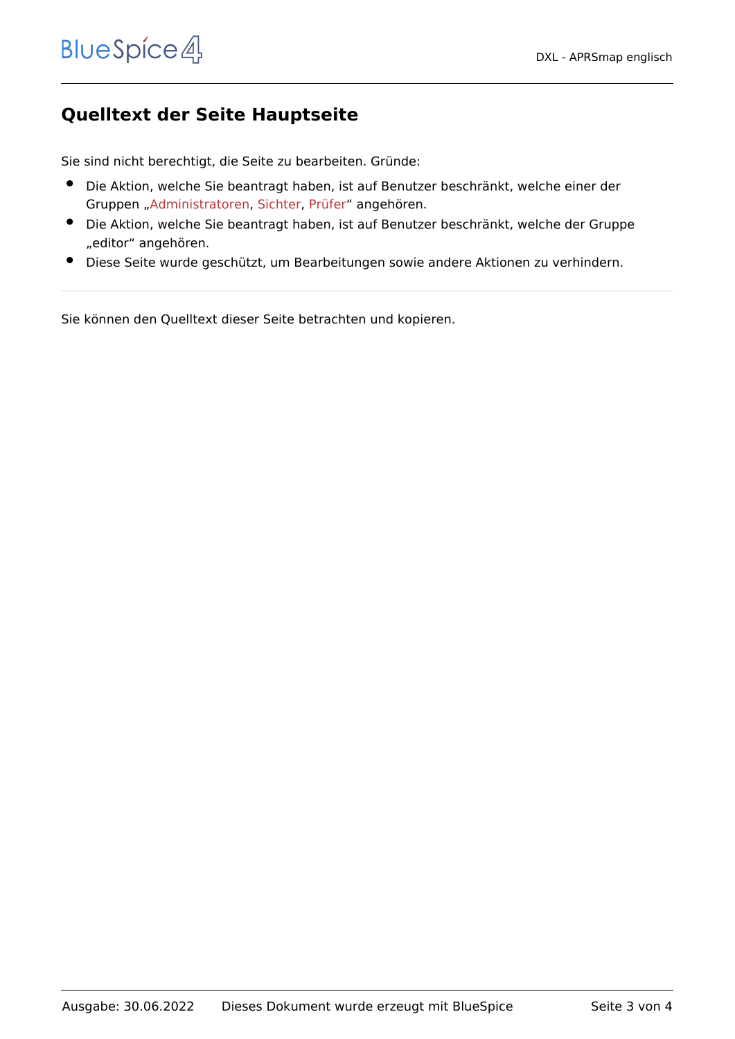## <span id="page-2-0"></span>**Quelltext der Seite Hauptseite**

Sie sind nicht berechtigt, die Seite zu bearbeiten. Gründe:

- Die Aktion, welche Sie beantragt haben, ist auf Benutzer beschränkt, welche einer der Gruppen ["Administratoren](https://wiki.oevsv.at/w/index.php?title=Project:Administratoren&action=view), [Sichter,](https://wiki.oevsv.at/w/index.php?title=Project:Sichter&action=view) [Prüfer"](https://wiki.oevsv.at/w/index.php?title=Project:Pr%C3%BCfer&action=view) angehören.
- Die Aktion, welche Sie beantragt haben, ist auf Benutzer beschränkt, welche der Gruppe "editor" angehören.
- Diese Seite wurde geschützt, um Bearbeitungen sowie andere Aktionen zu verhindern.

Sie können den Quelltext dieser Seite betrachten und kopieren.